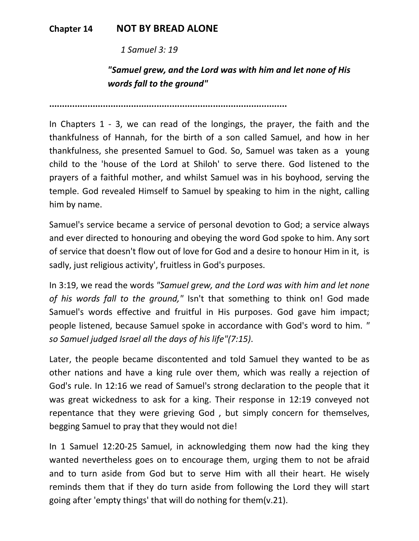## **Chapter 14 NOT BY BREAD ALONE**

 *1 Samuel 3: 19* 

## *"Samuel grew, and the Lord was with him and let none of His words fall to the ground"*

**.............................................................................................** 

In Chapters 1 - 3, we can read of the longings, the prayer, the faith and the thankfulness of Hannah, for the birth of a son called Samuel, and how in her thankfulness, she presented Samuel to God. So, Samuel was taken as a young child to the 'house of the Lord at Shiloh' to serve there. God listened to the prayers of a faithful mother, and whilst Samuel was in his boyhood, serving the temple. God revealed Himself to Samuel by speaking to him in the night, calling him by name.

Samuel's service became a service of personal devotion to God; a service always and ever directed to honouring and obeying the word God spoke to him. Any sort of service that doesn't flow out of love for God and a desire to honour Him in it, is sadly, just religious activity', fruitless in God's purposes.

In 3:19, we read the words *"Samuel grew, and the Lord was with him and let none of his words fall to the ground,"* Isn't that something to think on! God made Samuel's words effective and fruitful in His purposes. God gave him impact; people listened, because Samuel spoke in accordance with God's word to him. *" so Samuel judged Israel all the days of his life"(7:15)*.

Later, the people became discontented and told Samuel they wanted to be as other nations and have a king rule over them, which was really a rejection of God's rule. In 12:16 we read of Samuel's strong declaration to the people that it was great wickedness to ask for a king. Their response in 12:19 conveyed not repentance that they were grieving God , but simply concern for themselves, begging Samuel to pray that they would not die!

In 1 Samuel 12:20-25 Samuel, in acknowledging them now had the king they wanted nevertheless goes on to encourage them, urging them to not be afraid and to turn aside from God but to serve Him with all their heart. He wisely reminds them that if they do turn aside from following the Lord they will start going after 'empty things' that will do nothing for them(v.21).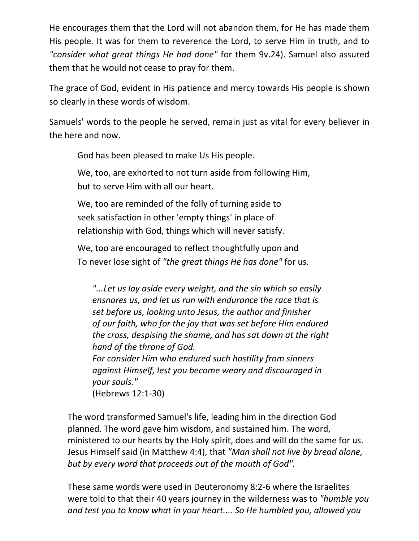He encourages them that the Lord will not abandon them, for He has made them His people. It was for them to reverence the Lord, to serve Him in truth, and to *"consider what great things He had done"* for them 9v.24). Samuel also assured them that he would not cease to pray for them.

The grace of God, evident in His patience and mercy towards His people is shown so clearly in these words of wisdom.

Samuels' words to the people he served, remain just as vital for every believer in the here and now.

God has been pleased to make Us His people.

 We, too, are exhorted to not turn aside from following Him, but to serve Him with all our heart.

 We, too are reminded of the folly of turning aside to seek satisfaction in other 'empty things' in place of relationship with God, things which will never satisfy.

 We, too are encouraged to reflect thoughtfully upon and To never lose sight of *"the great things He has done"* for us.

*"...Let us lay aside every weight, and the sin which so easily ensnares us, and let us run with endurance the race that is set before us, looking unto Jesus, the author and finisher of our faith, who for the joy that was set before Him endured the cross, despising the shame, and has sat down at the right hand of the throne of God.* 

*For consider Him who endured such hostility from sinners against Himself, lest you become weary and discouraged in your souls."*

(Hebrews 12:1-30)

The word transformed Samuel's life, leading him in the direction God planned. The word gave him wisdom, and sustained him. The word, ministered to our hearts by the Holy spirit, does and will do the same for us. Jesus Himself said (in Matthew 4:4), that *"Man shall not live by bread alone, but by every word that proceeds out of the mouth of God".*

These same words were used in Deuteronomy 8:2-6 where the Israelites were told to that their 40 years journey in the wilderness was to *"humble you and test you to know what in your heart.... So He humbled you, allowed you*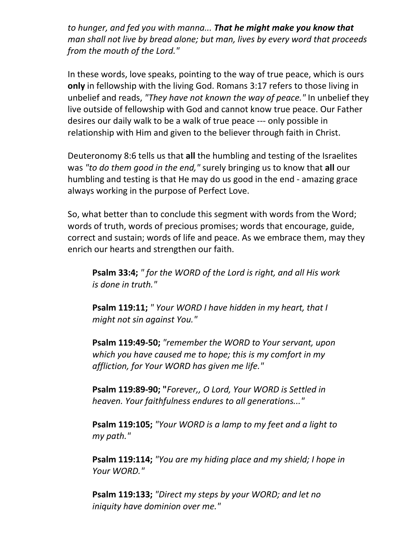*to hunger, and fed you with manna... That he might make you know that man shall not live by bread alone; but man, lives by every word that proceeds from the mouth of the Lord."*

In these words, love speaks, pointing to the way of true peace, which is ours **only** in fellowship with the living God. Romans 3:17 refers to those living in unbelief and reads, *"They have not known the way of peace."* In unbelief they live outside of fellowship with God and cannot know true peace. Our Father desires our daily walk to be a walk of true peace --- only possible in relationship with Him and given to the believer through faith in Christ.

Deuteronomy 8:6 tells us that **all** the humbling and testing of the Israelites was *"to do them good in the end,"* surely bringing us to know that **all** our humbling and testing is that He may do us good in the end - amazing grace always working in the purpose of Perfect Love.

So, what better than to conclude this segment with words from the Word; words of truth, words of precious promises; words that encourage, guide, correct and sustain; words of life and peace. As we embrace them, may they enrich our hearts and strengthen our faith.

**Psalm 33:4;** *" for the WORD of the Lord is right, and all His work is done in truth."*

**Psalm 119:11;** *" Your WORD I have hidden in my heart, that I might not sin against You."*

**Psalm 119:49-50;** *"remember the WORD to Your servant, upon which you have caused me to hope; this is my comfort in my affliction, for Your WORD has given me life."*

**Psalm 119:89-90; "***Forever,, O Lord, Your WORD is Settled in heaven. Your faithfulness endures to all generations..."* 

**Psalm 119:105;** *"Your WORD is a lamp to my feet and a light to my path."*

**Psalm 119:114;** *"You are my hiding place and my shield; I hope in Your WORD."* 

**Psalm 119:133;** *"Direct my steps by your WORD; and let no iniquity have dominion over me."*